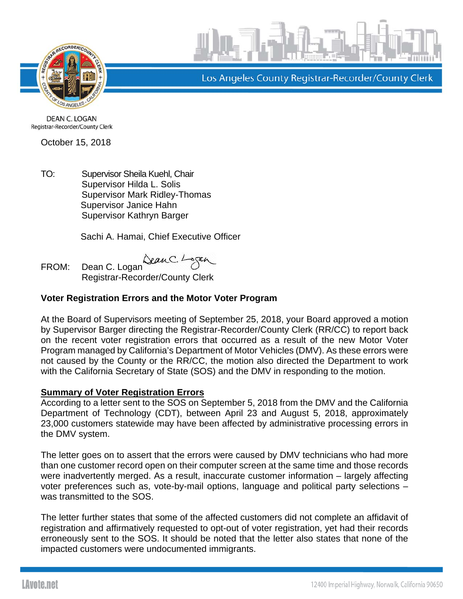



Los Angeles County Registrar-Recorder/County Clerk

**DEAN C. LOGAN** Registrar-Recorder/County Clerk

October 15, 2018

TO: Supervisor Sheila Kuehl, Chair Supervisor Hilda L. Solis Supervisor Mark Ridley-Thomas Supervisor Janice Hahn Supervisor Kathryn Barger

Sachi A. Hamai, Chief Executive Officer

FROM: Dean C. Logan Sean C. L Registrar-Recorder/County Clerk

## **Voter Registration Errors and the Motor Voter Program**

At the Board of Supervisors meeting of September 25, 2018, your Board approved a motion by Supervisor Barger directing the Registrar-Recorder/County Clerk (RR/CC) to report back on the recent voter registration errors that occurred as a result of the new Motor Voter Program managed by California's Department of Motor Vehicles (DMV). As these errors were not caused by the County or the RR/CC, the motion also directed the Department to work with the California Secretary of State (SOS) and the DMV in responding to the motion.

## **Summary of Voter Registration Errors**

According to a letter sent to the SOS on September 5, 2018 from the DMV and the California Department of Technology (CDT), between April 23 and August 5, 2018, approximately 23,000 customers statewide may have been affected by administrative processing errors in the DMV system.

The letter goes on to assert that the errors were caused by DMV technicians who had more than one customer record open on their computer screen at the same time and those records were inadvertently merged. As a result, inaccurate customer information – largely affecting voter preferences such as, vote-by-mail options, language and political party selections – was transmitted to the SOS.

The letter further states that some of the affected customers did not complete an affidavit of registration and affirmatively requested to opt-out of voter registration, yet had their records erroneously sent to the SOS. It should be noted that the letter also states that none of the impacted customers were undocumented immigrants.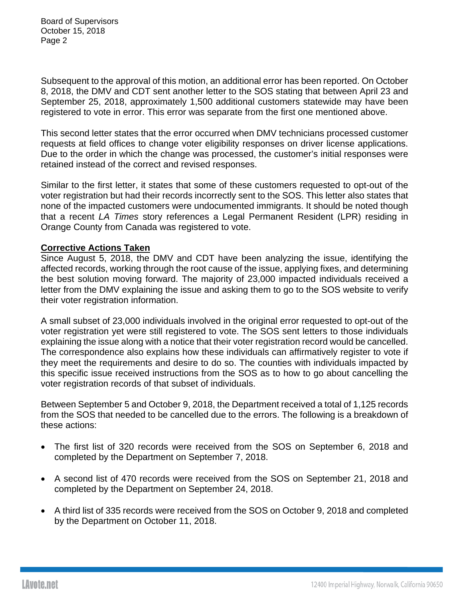Subsequent to the approval of this motion, an additional error has been reported. On October 8, 2018, the DMV and CDT sent another letter to the SOS stating that between April 23 and September 25, 2018, approximately 1,500 additional customers statewide may have been registered to vote in error. This error was separate from the first one mentioned above.

This second letter states that the error occurred when DMV technicians processed customer requests at field offices to change voter eligibility responses on driver license applications. Due to the order in which the change was processed, the customer's initial responses were retained instead of the correct and revised responses.

Similar to the first letter, it states that some of these customers requested to opt-out of the voter registration but had their records incorrectly sent to the SOS. This letter also states that none of the impacted customers were undocumented immigrants. It should be noted though that a recent *LA Times* story references a Legal Permanent Resident (LPR) residing in Orange County from Canada was registered to vote.

## **Corrective Actions Taken**

Since August 5, 2018, the DMV and CDT have been analyzing the issue, identifying the affected records, working through the root cause of the issue, applying fixes, and determining the best solution moving forward. The majority of 23,000 impacted individuals received a letter from the DMV explaining the issue and asking them to go to the SOS website to verify their voter registration information.

A small subset of 23,000 individuals involved in the original error requested to opt-out of the voter registration yet were still registered to vote. The SOS sent letters to those individuals explaining the issue along with a notice that their voter registration record would be cancelled. The correspondence also explains how these individuals can affirmatively register to vote if they meet the requirements and desire to do so. The counties with individuals impacted by this specific issue received instructions from the SOS as to how to go about cancelling the voter registration records of that subset of individuals.

Between September 5 and October 9, 2018, the Department received a total of 1,125 records from the SOS that needed to be cancelled due to the errors. The following is a breakdown of these actions:

- The first list of 320 records were received from the SOS on September 6, 2018 and completed by the Department on September 7, 2018.
- A second list of 470 records were received from the SOS on September 21, 2018 and completed by the Department on September 24, 2018.
- A third list of 335 records were received from the SOS on October 9, 2018 and completed by the Department on October 11, 2018.